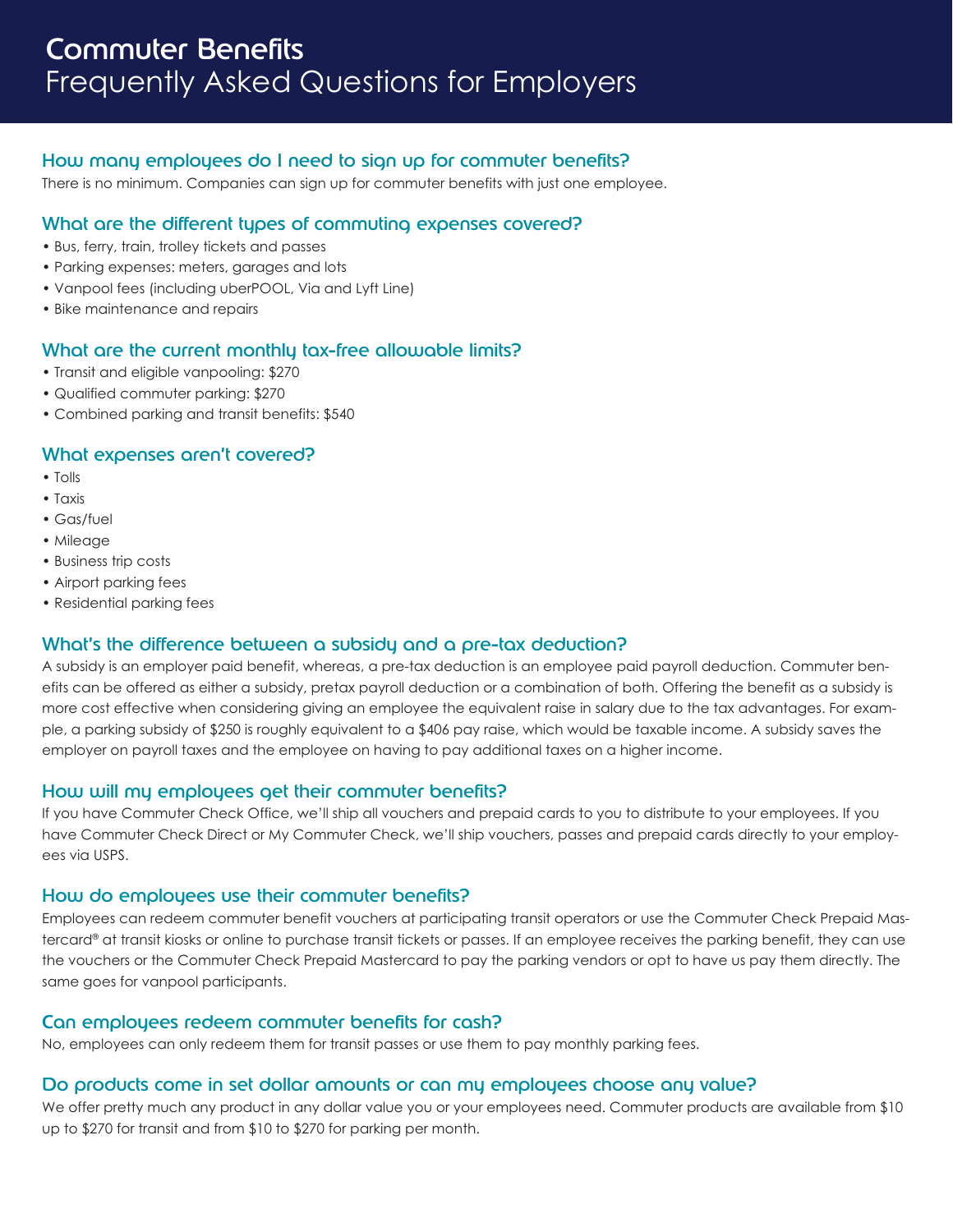# How many employees do I need to sign up for commuter benefits?

There is no minimum. Companies can sign up for commuter benefits with just one employee.

## What are the different types of commuting expenses covered?

- Bus, ferry, train, trolley tickets and passes
- Parking expenses: meters, garages and lots
- Vanpool fees (including uberPOOL, Via and Lyft Line)
- Bike maintenance and repairs

## What are the current monthly tax-free allowable limits?

- Transit and eligible vanpooling: \$270
- Qualified commuter parking: \$270
- Combined parking and transit benefits: \$540

#### What expenses aren't covered?

- Tolls
- Taxis
- Gas/fuel
- Mileage
- Business trip costs
- Airport parking fees
- Residential parking fees

#### What's the difference between a subsidy and a pre-tax deduction?

A subsidy is an employer paid benefit, whereas, a pre-tax deduction is an employee paid payroll deduction. Commuter benefits can be offered as either a subsidy, pretax payroll deduction or a combination of both. Offering the benefit as a subsidy is more cost effective when considering giving an employee the equivalent raise in salary due to the tax advantages. For example, a parking subsidy of \$250 is roughly equivalent to a \$406 pay raise, which would be taxable income. A subsidy saves the employer on payroll taxes and the employee on having to pay additional taxes on a higher income.

#### How will my employees get their commuter benefits?

If you have Commuter Check Office, we'll ship all vouchers and prepaid cards to you to distribute to your employees. If you have Commuter Check Direct or My Commuter Check, we'll ship vouchers, passes and prepaid cards directly to your employees via USPS.

#### How do employees use their commuter benefits?

Employees can redeem commuter benefit vouchers at participating transit operators or use the Commuter Check Prepaid Mastercard® at transit kiosks or online to purchase transit tickets or passes. If an employee receives the parking benefit, they can use the vouchers or the Commuter Check Prepaid Mastercard to pay the parking vendors or opt to have us pay them directly. The same goes for vanpool participants.

#### Can employees redeem commuter benefits for cash?

No, employees can only redeem them for transit passes or use them to pay monthly parking fees.

#### Do products come in set dollar amounts or can my employees choose any value?

We offer pretty much any product in any dollar value you or your employees need. Commuter products are available from \$10 up to \$270 for transit and from \$10 to \$270 for parking per month.